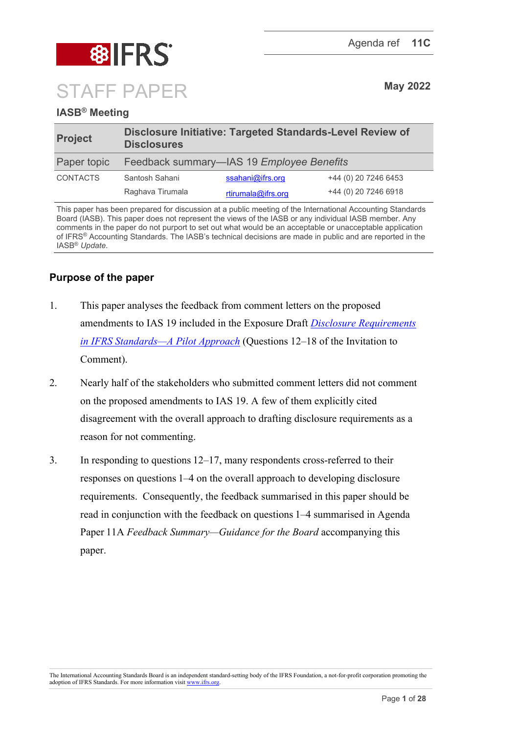

# **IASB® Meeting**

| <b>Project</b>  | Disclosure Initiative: Targeted Standards-Level Review of<br><b>Disclosures</b> |                    |                      |
|-----------------|---------------------------------------------------------------------------------|--------------------|----------------------|
| Paper topic     | Feedback summary—IAS 19 Employee Benefits                                       |                    |                      |
| <b>CONTACTS</b> | Santosh Sahani                                                                  | ssahani@ifrs.org   | +44 (0) 20 7246 6453 |
|                 | Raghava Tirumala                                                                | rtirumala@ifrs.org | +44 (0) 20 7246 6918 |

This paper has been prepared for discussion at a public meeting of the International Accounting Standards Board (IASB). This paper does not represent the views of the IASB or any individual IASB member. Any comments in the paper do not purport to set out what would be an acceptable or unacceptable application of IFRS® Accounting Standards. The IASB's technical decisions are made in public and are reported in the IASB® *Update*.

## **Purpose of the paper**

- 1. This paper analyses the feedback from comment letters on the proposed amendments to IAS 19 included in the Exposure Draft *[Disclosure Requirements](https://www.ifrs.org/content/dam/ifrs/project/disclosure-initative/disclosure-initiative-principles-of-disclosure/ed2021-3-di-tslr.pdf)  [in IFRS Standards—A Pilot Approach](https://www.ifrs.org/content/dam/ifrs/project/disclosure-initative/disclosure-initiative-principles-of-disclosure/ed2021-3-di-tslr.pdf)* (Questions 12–18 of the Invitation to Comment).
- 2. Nearly half of the stakeholders who submitted comment letters did not comment on the proposed amendments to IAS 19. A few of them explicitly cited disagreement with the overall approach to drafting disclosure requirements as a reason for not commenting.
- 3. In responding to questions 12–17, many respondents cross-referred to their responses on questions 1–4 on the overall approach to developing disclosure requirements. Consequently, the feedback summarised in this paper should be read in conjunction with the feedback on questions 1–4 summarised in Agenda Paper 11A *Feedback Summary—Guidance for the Board* accompanying this paper.

The International Accounting Standards Board is an independent standard-setting body of the IFRS Foundation, a not-for-profit corporation promoting the adoption of IFRS Standards. For more information visi[t www.ifrs.org.](http://www.ifrs.org/)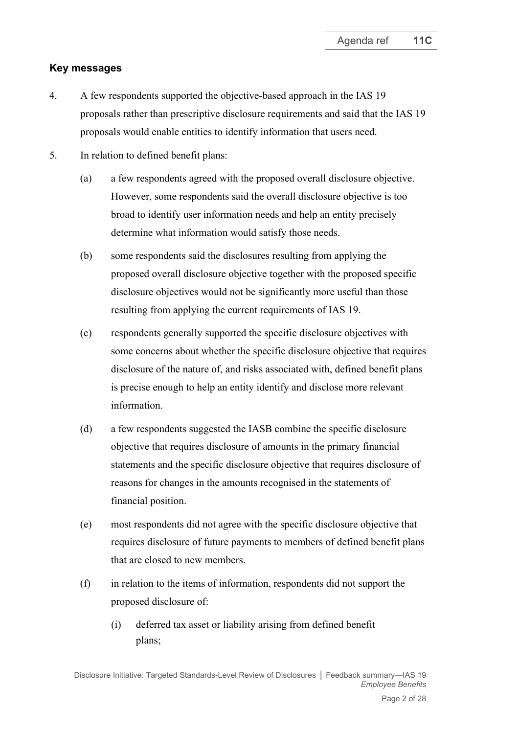### **Key messages**

- 4. A few respondents supported the objective-based approach in the IAS 19 proposals rather than prescriptive disclosure requirements and said that the IAS 19 proposals would enable entities to identify information that users need.
- 5. In relation to defined benefit plans:
	- (a) a few respondents agreed with the proposed overall disclosure objective. However, some respondents said the overall disclosure objective is too broad to identify user information needs and help an entity precisely determine what information would satisfy those needs.
	- (b) some respondents said the disclosures resulting from applying the proposed overall disclosure objective together with the proposed specific disclosure objectives would not be significantly more useful than those resulting from applying the current requirements of IAS 19.
	- (c) respondents generally supported the specific disclosure objectives with some concerns about whether the specific disclosure objective that requires disclosure of the nature of, and risks associated with, defined benefit plans is precise enough to help an entity identify and disclose more relevant information.
	- (d) a few respondents suggested the IASB combine the specific disclosure objective that requires disclosure of amounts in the primary financial statements and the specific disclosure objective that requires disclosure of reasons for changes in the amounts recognised in the statements of financial position.
	- (e) most respondents did not agree with the specific disclosure objective that requires disclosure of future payments to members of defined benefit plans that are closed to new members.
	- (f) in relation to the items of information, respondents did not support the proposed disclosure of:
		- (i) deferred tax asset or liability arising from defined benefit plans;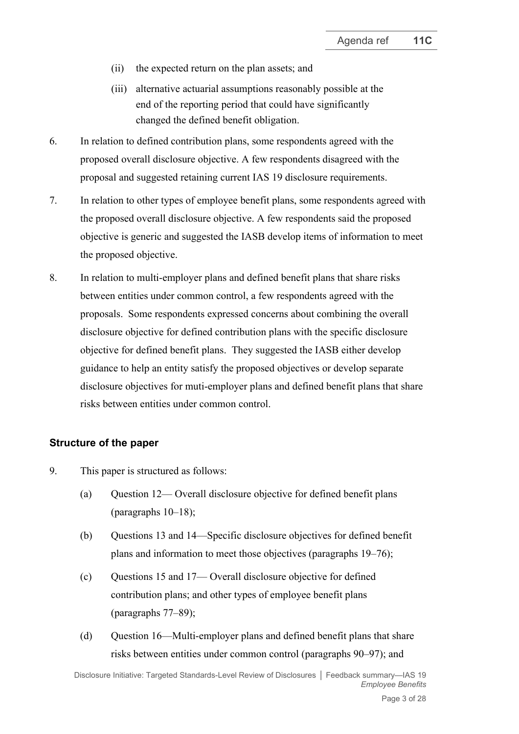- (ii) the expected return on the plan assets; and
- (iii) alternative actuarial assumptions reasonably possible at the end of the reporting period that could have significantly changed the defined benefit obligation.
- 6. In relation to defined contribution plans, some respondents agreed with the proposed overall disclosure objective. A few respondents disagreed with the proposal and suggested retaining current IAS 19 disclosure requirements.
- 7. In relation to other types of employee benefit plans, some respondents agreed with the proposed overall disclosure objective. A few respondents said the proposed objective is generic and suggested the IASB develop items of information to meet the proposed objective.
- 8. In relation to multi-employer plans and defined benefit plans that share risks between entities under common control, a few respondents agreed with the proposals. Some respondents expressed concerns about combining the overall disclosure objective for defined contribution plans with the specific disclosure objective for defined benefit plans. They suggested the IASB either develop guidance to help an entity satisfy the proposed objectives or develop separate disclosure objectives for muti-employer plans and defined benefit plans that share risks between entities under common control.

### **Structure of the paper**

- 9. This paper is structured as follows:
	- (a) Ouestion  $12$  Overall disclosure objective for defined benefit plans (paragraphs [10–](#page-3-0)[18\)](#page-4-0);
	- (b) Questions 13 and 14—Specific disclosure objectives for defined benefit plans and information to meet those objectives (paragraphs [19–](#page-5-0)[76\)](#page-21-0);
	- (c) Questions 15 and 17— Overall disclosure objective for defined contribution plans; and other types of employee benefit plans (paragraphs [77–](#page-21-1)[89\)](#page-24-0);
	- (d) Question 16—Multi-employer plans and defined benefit plans that share risks between entities under common control (paragraphs [90](#page-24-1)[–](#page-24-2)[97\)](#page-25-0); and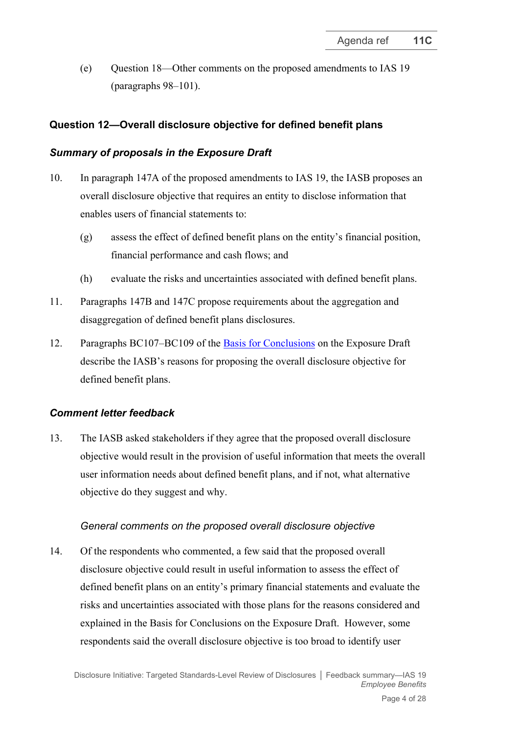(e) Question 18—Other comments on the proposed amendments to IAS 19 (paragraphs [98–](#page-26-0)[101\)](#page-26-1).

# **Question 12—Overall disclosure objective for defined benefit plans**

# *Summary of proposals in the Exposure Draft*

- <span id="page-3-0"></span>10. In paragraph 147A of the proposed amendments to IAS 19, the IASB proposes an overall disclosure objective that requires an entity to disclose information that enables users of financial statements to:
	- (g) assess the effect of defined benefit plans on the entity's financial position, financial performance and cash flows; and
	- (h) evaluate the risks and uncertainties associated with defined benefit plans.
- 11. Paragraphs 147B and 147C propose requirements about the aggregation and disaggregation of defined benefit plans disclosures.
- 12. Paragraphs BC107–BC109 of the [Basis for Conclusions](https://www.ifrs.org/content/dam/ifrs/project/disclosure-initative/disclosure-initiative-principles-of-disclosure/ed2021-3-bc-di-tslr.pdf) on the Exposure Draft describe the IASB's reasons for proposing the overall disclosure objective for defined benefit plans.

# *Comment letter feedback*

13. The IASB asked stakeholders if they agree that the proposed overall disclosure objective would result in the provision of useful information that meets the overall user information needs about defined benefit plans, and if not, what alternative objective do they suggest and why.

# *General comments on the proposed overall disclosure objective*

14. Of the respondents who commented, a few said that the proposed overall disclosure objective could result in useful information to assess the effect of defined benefit plans on an entity's primary financial statements and evaluate the risks and uncertainties associated with those plans for the reasons considered and explained in the Basis for Conclusions on the Exposure Draft. However, some respondents said the overall disclosure objective is too broad to identify user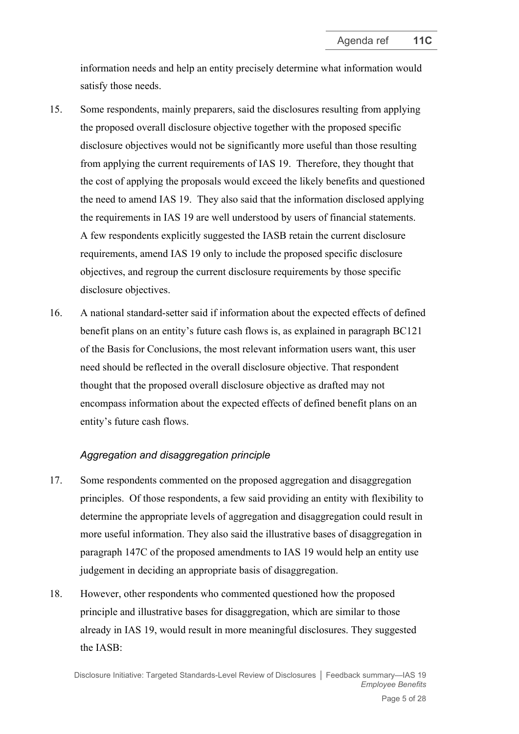information needs and help an entity precisely determine what information would satisfy those needs.

- 15. Some respondents, mainly preparers, said the disclosures resulting from applying the proposed overall disclosure objective together with the proposed specific disclosure objectives would not be significantly more useful than those resulting from applying the current requirements of IAS 19. Therefore, they thought that the cost of applying the proposals would exceed the likely benefits and questioned the need to amend IAS 19. They also said that the information disclosed applying the requirements in IAS 19 are well understood by users of financial statements. A few respondents explicitly suggested the IASB retain the current disclosure requirements, amend IAS 19 only to include the proposed specific disclosure objectives, and regroup the current disclosure requirements by those specific disclosure objectives.
- 16. A national standard-setter said if information about the expected effects of defined benefit plans on an entity's future cash flows is, as explained in paragraph BC121 of the Basis for Conclusions, the most relevant information users want, this user need should be reflected in the overall disclosure objective. That respondent thought that the proposed overall disclosure objective as drafted may not encompass information about the expected effects of defined benefit plans on an entity's future cash flows.

### *Aggregation and disaggregation principle*

- 17. Some respondents commented on the proposed aggregation and disaggregation principles. Of those respondents, a few said providing an entity with flexibility to determine the appropriate levels of aggregation and disaggregation could result in more useful information. They also said the illustrative bases of disaggregation in paragraph 147C of the proposed amendments to IAS 19 would help an entity use judgement in deciding an appropriate basis of disaggregation.
- <span id="page-4-0"></span>18. However, other respondents who commented questioned how the proposed principle and illustrative bases for disaggregation, which are similar to those already in IAS 19, would result in more meaningful disclosures. They suggested the IASB: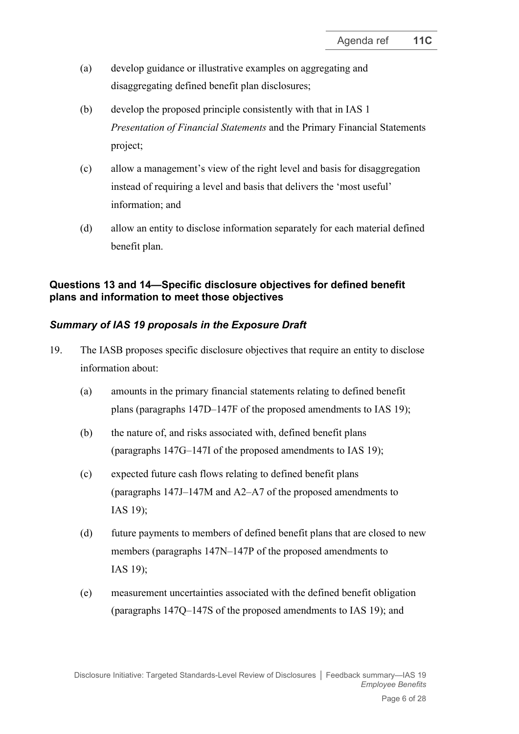- (a) develop guidance or illustrative examples on aggregating and disaggregating defined benefit plan disclosures;
- (b) develop the proposed principle consistently with that in IAS 1 *Presentation of Financial Statements* and the Primary Financial Statements project;
- (c) allow a management's view of the right level and basis for disaggregation instead of requiring a level and basis that delivers the 'most useful' information; and
- (d) allow an entity to disclose information separately for each material defined benefit plan.

# **Questions 13 and 14—Specific disclosure objectives for defined benefit plans and information to meet those objectives**

# *Summary of IAS 19 proposals in the Exposure Draft*

- <span id="page-5-0"></span>19. The IASB proposes specific disclosure objectives that require an entity to disclose information about:
	- (a) amounts in the primary financial statements relating to defined benefit plans (paragraphs 147D–147F of the proposed amendments to IAS 19);
	- (b) the nature of, and risks associated with, defined benefit plans (paragraphs 147G–147I of the proposed amendments to IAS 19);
	- (c) expected future cash flows relating to defined benefit plans (paragraphs 147J–147M and A2–A7 of the proposed amendments to IAS 19);
	- (d) future payments to members of defined benefit plans that are closed to new members (paragraphs 147N–147P of the proposed amendments to IAS 19);
	- (e) measurement uncertainties associated with the defined benefit obligation (paragraphs 147Q–147S of the proposed amendments to IAS 19); and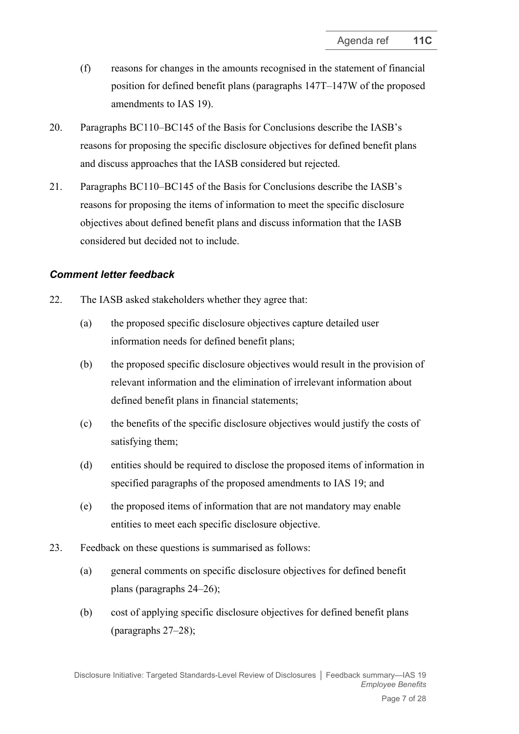- (f) reasons for changes in the amounts recognised in the statement of financial position for defined benefit plans (paragraphs 147T–147W of the proposed amendments to IAS 19).
- 20. Paragraphs BC110–BC145 of the Basis for Conclusions describe the IASB's reasons for proposing the specific disclosure objectives for defined benefit plans and discuss approaches that the IASB considered but rejected.
- 21. Paragraphs BC110–BC145 of the Basis for Conclusions describe the IASB's reasons for proposing the items of information to meet the specific disclosure objectives about defined benefit plans and discuss information that the IASB considered but decided not to include.

### *Comment letter feedback*

- 22. The IASB asked stakeholders whether they agree that:
	- (a) the proposed specific disclosure objectives capture detailed user information needs for defined benefit plans;
	- (b) the proposed specific disclosure objectives would result in the provision of relevant information and the elimination of irrelevant information about defined benefit plans in financial statements;
	- (c) the benefits of the specific disclosure objectives would justify the costs of satisfying them;
	- (d) entities should be required to disclose the proposed items of information in specified paragraphs of the proposed amendments to IAS 19; and
	- (e) the proposed items of information that are not mandatory may enable entities to meet each specific disclosure objective.
- 23. Feedback on these questions is summarised as follows:
	- (a) general comments on specific disclosure objectives for defined benefit plans (paragraphs [24–](#page-7-0)[26\)](#page-7-1);
	- (b) cost of applying specific disclosure objectives for defined benefit plans (paragraphs [27–](#page-8-0)[28\)](#page-8-1);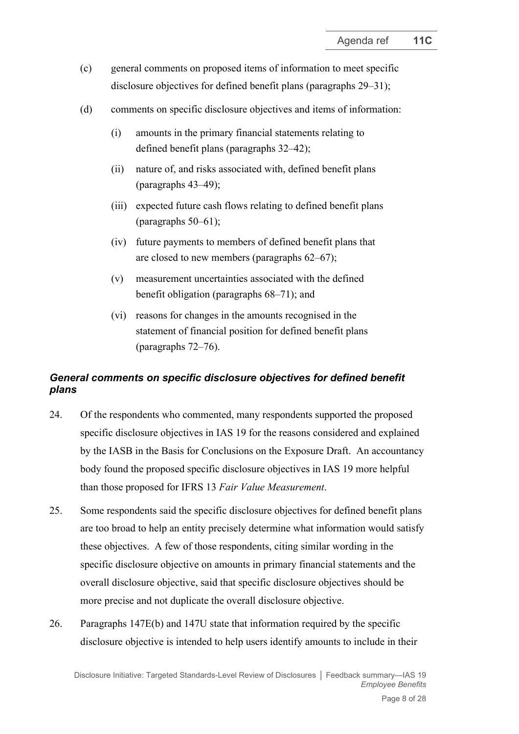- (c) general comments on proposed items of information to meet specific disclosure objectives for defined benefit plans (paragraphs [29–](#page-8-2)[31\)](#page-8-3);
- (d) comments on specific disclosure objectives and items of information:
	- (i) amounts in the primary financial statements relating to defined benefit plans (paragraphs [32](#page-9-0)[–42\)](#page-10-0);
	- (ii) nature of, and risks associated with, defined benefit plans (paragraphs [43](#page-11-0)[–49\)](#page-13-0);
	- (iii) expected future cash flows relating to defined benefit plans (paragraphs [50](#page-13-1)[–61\)](#page-15-0);
	- (iv) future payments to members of defined benefit plans that are closed to new members (paragraphs [62](#page-16-0)[–67\)](#page-17-0);
	- (v) measurement uncertainties associated with the defined benefit obligation (paragraphs [68](#page-17-1)[–71\)](#page-18-0); and
	- (vi) reasons for changes in the amounts recognised in the statement of financial position for defined benefit plans (paragraphs [72](#page-20-0)[–76\)](#page-21-0).

# *General comments on specific disclosure objectives for defined benefit plans*

- <span id="page-7-0"></span>24. Of the respondents who commented, many respondents supported the proposed specific disclosure objectives in IAS 19 for the reasons considered and explained by the IASB in the Basis for Conclusions on the Exposure Draft. An accountancy body found the proposed specific disclosure objectives in IAS 19 more helpful than those proposed for IFRS 13 *Fair Value Measurement*.
- 25. Some respondents said the specific disclosure objectives for defined benefit plans are too broad to help an entity precisely determine what information would satisfy these objectives. A few of those respondents, citing similar wording in the specific disclosure objective on amounts in primary financial statements and the overall disclosure objective, said that specific disclosure objectives should be more precise and not duplicate the overall disclosure objective.
- <span id="page-7-1"></span>26. Paragraphs 147E(b) and 147U state that information required by the specific disclosure objective is intended to help users identify amounts to include in their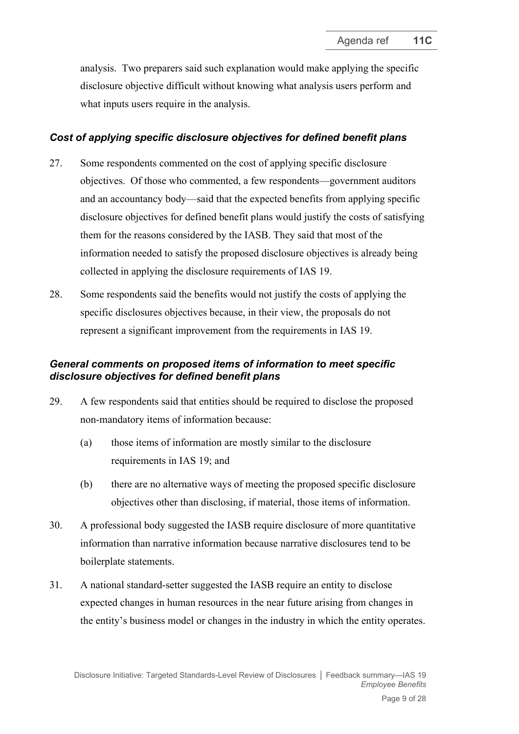analysis. Two preparers said such explanation would make applying the specific disclosure objective difficult without knowing what analysis users perform and what inputs users require in the analysis.

### *Cost of applying specific disclosure objectives for defined benefit plans*

- <span id="page-8-0"></span>27. Some respondents commented on the cost of applying specific disclosure objectives. Of those who commented, a few respondents—government auditors and an accountancy body—said that the expected benefits from applying specific disclosure objectives for defined benefit plans would justify the costs of satisfying them for the reasons considered by the IASB. They said that most of the information needed to satisfy the proposed disclosure objectives is already being collected in applying the disclosure requirements of IAS 19.
- <span id="page-8-1"></span>28. Some respondents said the benefits would not justify the costs of applying the specific disclosures objectives because, in their view, the proposals do not represent a significant improvement from the requirements in IAS 19.

## *General comments on proposed items of information to meet specific disclosure objectives for defined benefit plans*

- <span id="page-8-2"></span>29. A few respondents said that entities should be required to disclose the proposed non-mandatory items of information because:
	- (a) those items of information are mostly similar to the disclosure requirements in IAS 19; and
	- (b) there are no alternative ways of meeting the proposed specific disclosure objectives other than disclosing, if material, those items of information.
- 30. A professional body suggested the IASB require disclosure of more quantitative information than narrative information because narrative disclosures tend to be boilerplate statements.
- <span id="page-8-3"></span>31. A national standard-setter suggested the IASB require an entity to disclose expected changes in human resources in the near future arising from changes in the entity's business model or changes in the industry in which the entity operates.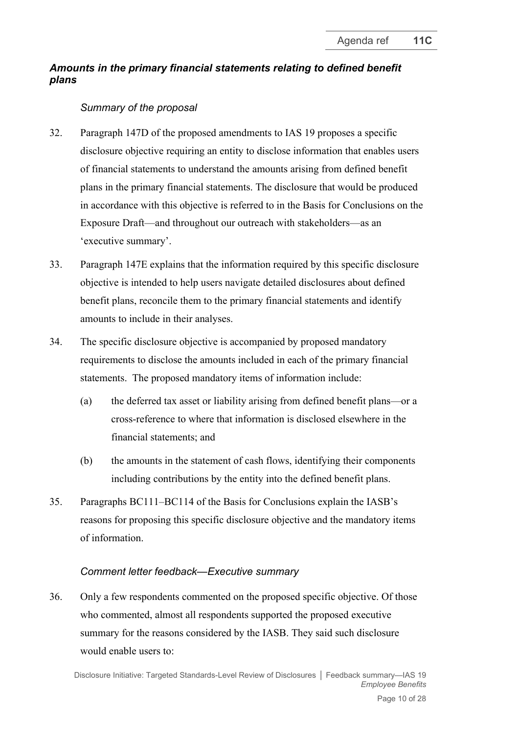# *Amounts in the primary financial statements relating to defined benefit plans*

## *Summary of the proposal*

- <span id="page-9-0"></span>32. Paragraph 147D of the proposed amendments to IAS 19 proposes a specific disclosure objective requiring an entity to disclose information that enables users of financial statements to understand the amounts arising from defined benefit plans in the primary financial statements. The disclosure that would be produced in accordance with this objective is referred to in the Basis for Conclusions on the Exposure Draft—and throughout our outreach with stakeholders—as an 'executive summary'.
- 33. Paragraph 147E explains that the information required by this specific disclosure objective is intended to help users navigate detailed disclosures about defined benefit plans, reconcile them to the primary financial statements and identify amounts to include in their analyses.
- 34. The specific disclosure objective is accompanied by proposed mandatory requirements to disclose the amounts included in each of the primary financial statements. The proposed mandatory items of information include:
	- (a) the deferred tax asset or liability arising from defined benefit plans—or a cross-reference to where that information is disclosed elsewhere in the financial statements; and
	- (b) the amounts in the statement of cash flows, identifying their components including contributions by the entity into the defined benefit plans.
- 35. Paragraphs BC111–BC114 of the Basis for Conclusions explain the IASB's reasons for proposing this specific disclosure objective and the mandatory items of information.

### *Comment letter feedback—Executive summary*

36. Only a few respondents commented on the proposed specific objective. Of those who commented, almost all respondents supported the proposed executive summary for the reasons considered by the IASB. They said such disclosure would enable users to: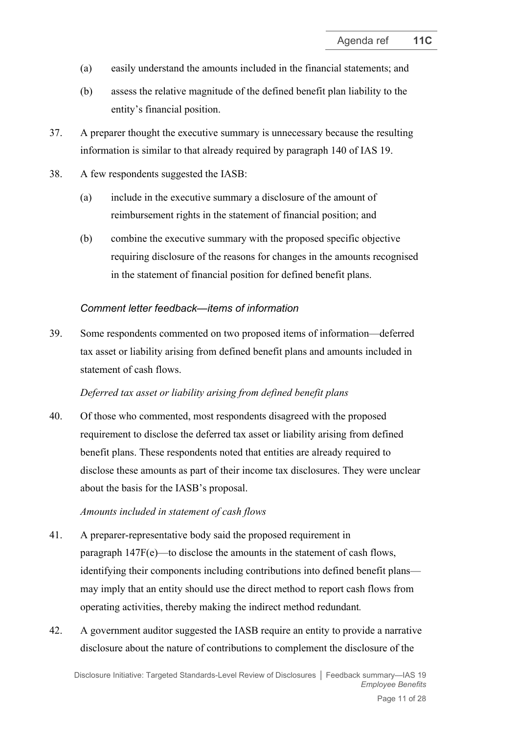- (a) easily understand the amounts included in the financial statements; and
- (b) assess the relative magnitude of the defined benefit plan liability to the entity's financial position.
- 37. A preparer thought the executive summary is unnecessary because the resulting information is similar to that already required by paragraph 140 of IAS 19.
- 38. A few respondents suggested the IASB:
	- (a) include in the executive summary a disclosure of the amount of reimbursement rights in the statement of financial position; and
	- (b) combine the executive summary with the proposed specific objective requiring disclosure of the reasons for changes in the amounts recognised in the statement of financial position for defined benefit plans.

#### *Comment letter feedback—items of information*

39. Some respondents commented on two proposed items of information—deferred tax asset or liability arising from defined benefit plans and amounts included in statement of cash flows.

#### *Deferred tax asset or liability arising from defined benefit plans*

40. Of those who commented, most respondents disagreed with the proposed requirement to disclose the deferred tax asset or liability arising from defined benefit plans. These respondents noted that entities are already required to disclose these amounts as part of their income tax disclosures. They were unclear about the basis for the IASB's proposal.

#### *Amounts included in statement of cash flows*

- 41. A preparer-representative body said the proposed requirement in paragraph 147F(e)—to disclose the amounts in the statement of cash flows, identifying their components including contributions into defined benefit plans may imply that an entity should use the direct method to report cash flows from operating activities, thereby making the indirect method redundant*.*
- <span id="page-10-0"></span>42. A government auditor suggested the IASB require an entity to provide a narrative disclosure about the nature of contributions to complement the disclosure of the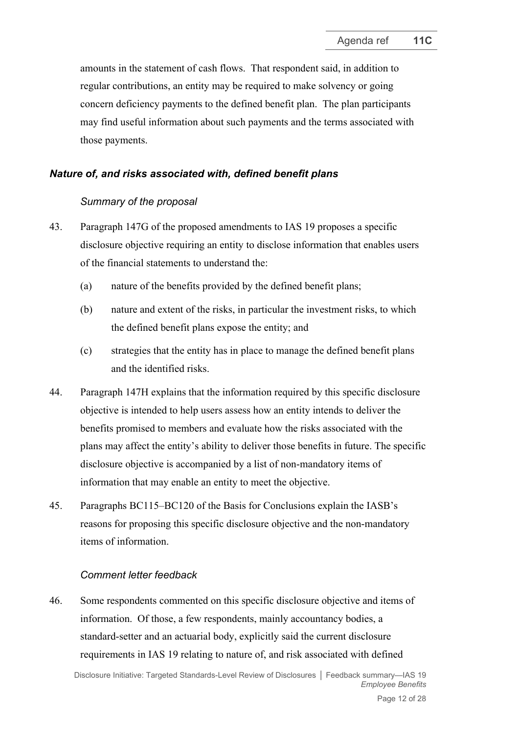amounts in the statement of cash flows. That respondent said, in addition to regular contributions, an entity may be required to make solvency or going concern deficiency payments to the defined benefit plan. The plan participants may find useful information about such payments and the terms associated with those payments.

### *Nature of, and risks associated with, defined benefit plans*

#### *Summary of the proposal*

- <span id="page-11-0"></span>43. Paragraph 147G of the proposed amendments to IAS 19 proposes a specific disclosure objective requiring an entity to disclose information that enables users of the financial statements to understand the:
	- (a) nature of the benefits provided by the defined benefit plans;
	- (b) nature and extent of the risks, in particular the investment risks, to which the defined benefit plans expose the entity; and
	- (c) strategies that the entity has in place to manage the defined benefit plans and the identified risks.
- 44. Paragraph 147H explains that the information required by this specific disclosure objective is intended to help users assess how an entity intends to deliver the benefits promised to members and evaluate how the risks associated with the plans may affect the entity's ability to deliver those benefits in future. The specific disclosure objective is accompanied by a list of non-mandatory items of information that may enable an entity to meet the objective.
- 45. Paragraphs BC115–BC120 of the Basis for Conclusions explain the IASB's reasons for proposing this specific disclosure objective and the non-mandatory items of information.

#### *Comment letter feedback*

46. Some respondents commented on this specific disclosure objective and items of information. Of those, a few respondents, mainly accountancy bodies, a standard-setter and an actuarial body, explicitly said the current disclosure requirements in IAS 19 relating to nature of, and risk associated with defined

Disclosure Initiative: Targeted Standards-Level Review of Disclosures **│** Feedback summary—IAS 19 *Employee Benefits*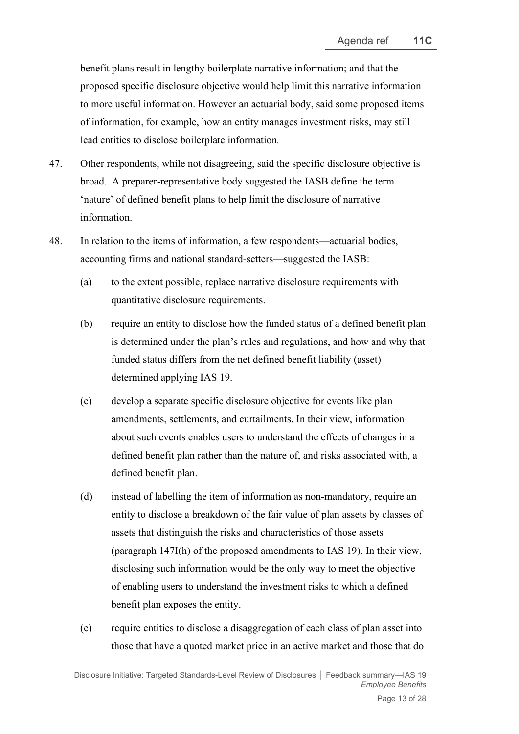benefit plans result in lengthy boilerplate narrative information; and that the proposed specific disclosure objective would help limit this narrative information to more useful information. However an actuarial body, said some proposed items of information, for example, how an entity manages investment risks, may still lead entities to disclose boilerplate information*.*

- 47. Other respondents, while not disagreeing, said the specific disclosure objective is broad. A preparer-representative body suggested the IASB define the term 'nature' of defined benefit plans to help limit the disclosure of narrative information.
- 48. In relation to the items of information, a few respondents—actuarial bodies, accounting firms and national standard-setters—suggested the IASB:
	- (a) to the extent possible, replace narrative disclosure requirements with quantitative disclosure requirements.
	- (b) require an entity to disclose how the funded status of a defined benefit plan is determined under the plan's rules and regulations, and how and why that funded status differs from the net defined benefit liability (asset) determined applying IAS 19.
	- (c) develop a separate specific disclosure objective for events like plan amendments, settlements, and curtailments. In their view, information about such events enables users to understand the effects of changes in a defined benefit plan rather than the nature of, and risks associated with, a defined benefit plan.
	- (d) instead of labelling the item of information as non-mandatory, require an entity to disclose a breakdown of the fair value of plan assets by classes of assets that distinguish the risks and characteristics of those assets (paragraph 147I(h) of the proposed amendments to IAS 19). In their view, disclosing such information would be the only way to meet the objective of enabling users to understand the investment risks to which a defined benefit plan exposes the entity.
	- (e) require entities to disclose a disaggregation of each class of plan asset into those that have a quoted market price in an active market and those that do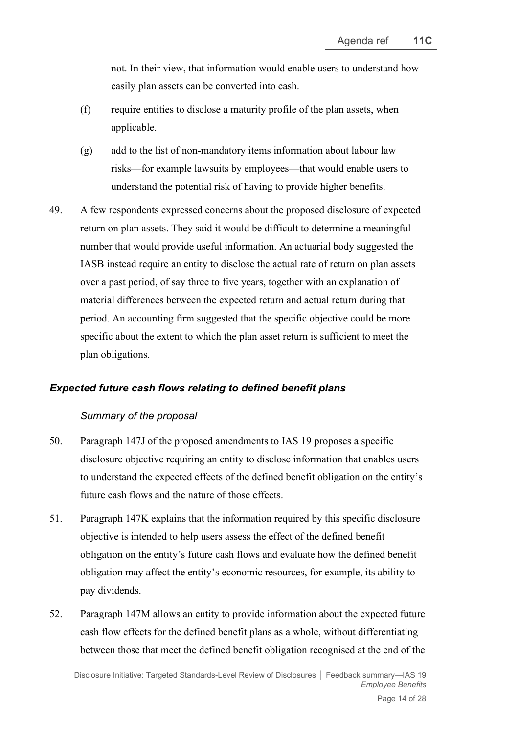not. In their view, that information would enable users to understand how easily plan assets can be converted into cash.

- (f) require entities to disclose a maturity profile of the plan assets, when applicable.
- (g) add to the list of non-mandatory items information about labour law risks—for example lawsuits by employees—that would enable users to understand the potential risk of having to provide higher benefits.
- <span id="page-13-0"></span>49. A few respondents expressed concerns about the proposed disclosure of expected return on plan assets. They said it would be difficult to determine a meaningful number that would provide useful information. An actuarial body suggested the IASB instead require an entity to disclose the actual rate of return on plan assets over a past period, of say three to five years, together with an explanation of material differences between the expected return and actual return during that period. An accounting firm suggested that the specific objective could be more specific about the extent to which the plan asset return is sufficient to meet the plan obligations.

### *Expected future cash flows relating to defined benefit plans*

#### *Summary of the proposal*

- <span id="page-13-1"></span>50. Paragraph 147J of the proposed amendments to IAS 19 proposes a specific disclosure objective requiring an entity to disclose information that enables users to understand the expected effects of the defined benefit obligation on the entity's future cash flows and the nature of those effects.
- 51. Paragraph 147K explains that the information required by this specific disclosure objective is intended to help users assess the effect of the defined benefit obligation on the entity's future cash flows and evaluate how the defined benefit obligation may affect the entity's economic resources, for example, its ability to pay dividends.
- 52. Paragraph 147M allows an entity to provide information about the expected future cash flow effects for the defined benefit plans as a whole, without differentiating between those that meet the defined benefit obligation recognised at the end of the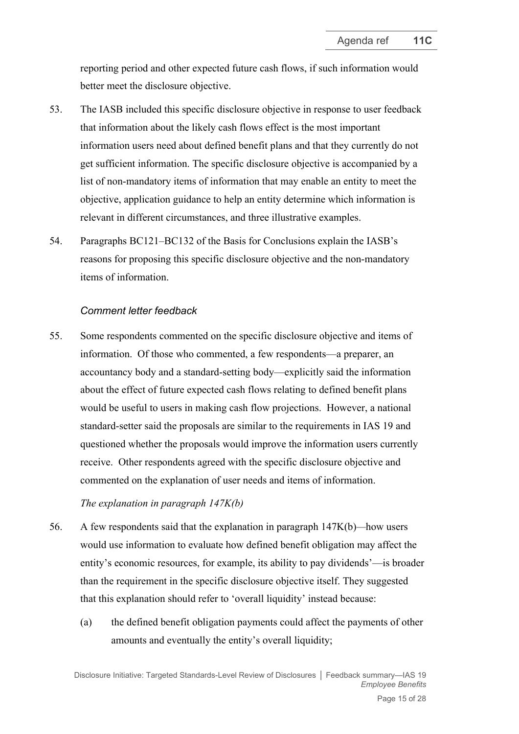reporting period and other expected future cash flows, if such information would better meet the disclosure objective.

- 53. The IASB included this specific disclosure objective in response to user feedback that information about the likely cash flows effect is the most important information users need about defined benefit plans and that they currently do not get sufficient information. The specific disclosure objective is accompanied by a list of non-mandatory items of information that may enable an entity to meet the objective, application guidance to help an entity determine which information is relevant in different circumstances, and three illustrative examples.
- 54. Paragraphs BC121–BC132 of the Basis for Conclusions explain the IASB's reasons for proposing this specific disclosure objective and the non-mandatory items of information.

#### *Comment letter feedback*

55. Some respondents commented on the specific disclosure objective and items of information. Of those who commented, a few respondents—a preparer, an accountancy body and a standard-setting body—explicitly said the information about the effect of future expected cash flows relating to defined benefit plans would be useful to users in making cash flow projections. However, a national standard-setter said the proposals are similar to the requirements in IAS 19 and questioned whether the proposals would improve the information users currently receive. Other respondents agreed with the specific disclosure objective and commented on the explanation of user needs and items of information.

#### *The explanation in paragraph 147K(b)*

- 56. A few respondents said that the explanation in paragraph 147K(b)*—*how users would use information to evaluate how defined benefit obligation may affect the entity's economic resources, for example, its ability to pay dividends'—is broader than the requirement in the specific disclosure objective itself. They suggested that this explanation should refer to 'overall liquidity' instead because:
	- (a) the defined benefit obligation payments could affect the payments of other amounts and eventually the entity's overall liquidity;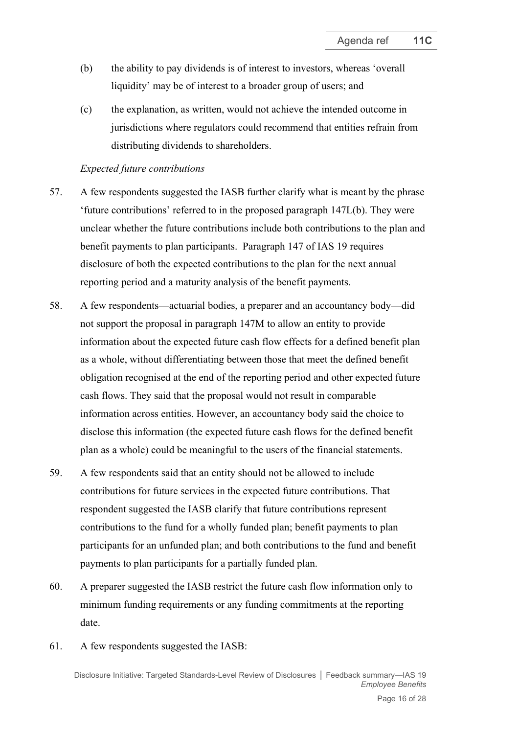- (b) the ability to pay dividends is of interest to investors, whereas 'overall liquidity' may be of interest to a broader group of users; and
- (c) the explanation, as written, would not achieve the intended outcome in jurisdictions where regulators could recommend that entities refrain from distributing dividends to shareholders.

#### *Expected future contributions*

- 57. A few respondents suggested the IASB further clarify what is meant by the phrase 'future contributions' referred to in the proposed paragraph 147L(b). They were unclear whether the future contributions include both contributions to the plan and benefit payments to plan participants. Paragraph 147 of IAS 19 requires disclosure of both the expected contributions to the plan for the next annual reporting period and a maturity analysis of the benefit payments.
- 58. A few respondents—actuarial bodies, a preparer and an accountancy body—did not support the proposal in paragraph 147M to allow an entity to provide information about the expected future cash flow effects for a defined benefit plan as a whole, without differentiating between those that meet the defined benefit obligation recognised at the end of the reporting period and other expected future cash flows. They said that the proposal would not result in comparable information across entities. However, an accountancy body said the choice to disclose this information (the expected future cash flows for the defined benefit plan as a whole) could be meaningful to the users of the financial statements.
- 59. A few respondents said that an entity should not be allowed to include contributions for future services in the expected future contributions. That respondent suggested the IASB clarify that future contributions represent contributions to the fund for a wholly funded plan; benefit payments to plan participants for an unfunded plan; and both contributions to the fund and benefit payments to plan participants for a partially funded plan.
- 60. A preparer suggested the IASB restrict the future cash flow information only to minimum funding requirements or any funding commitments at the reporting date.
- <span id="page-15-0"></span>61. A few respondents suggested the IASB: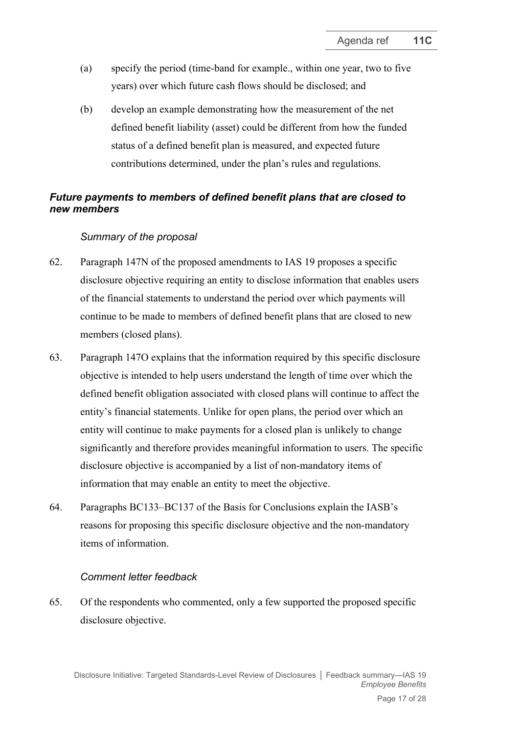- (a) specify the period (time-band for example., within one year, two to five years) over which future cash flows should be disclosed; and
- (b) develop an example demonstrating how the measurement of the net defined benefit liability (asset) could be different from how the funded status of a defined benefit plan is measured, and expected future contributions determined, under the plan's rules and regulations.

## *Future payments to members of defined benefit plans that are closed to new members*

### *Summary of the proposal*

- <span id="page-16-0"></span>62. Paragraph 147N of the proposed amendments to IAS 19 proposes a specific disclosure objective requiring an entity to disclose information that enables users of the financial statements to understand the period over which payments will continue to be made to members of defined benefit plans that are closed to new members (closed plans).
- 63. Paragraph 147O explains that the information required by this specific disclosure objective is intended to help users understand the length of time over which the defined benefit obligation associated with closed plans will continue to affect the entity's financial statements. Unlike for open plans, the period over which an entity will continue to make payments for a closed plan is unlikely to change significantly and therefore provides meaningful information to users. The specific disclosure objective is accompanied by a list of non-mandatory items of information that may enable an entity to meet the objective.
- 64. Paragraphs BC133–BC137 of the Basis for Conclusions explain the IASB's reasons for proposing this specific disclosure objective and the non-mandatory items of information.

### *Comment letter feedback*

65. Of the respondents who commented, only a few supported the proposed specific disclosure objective.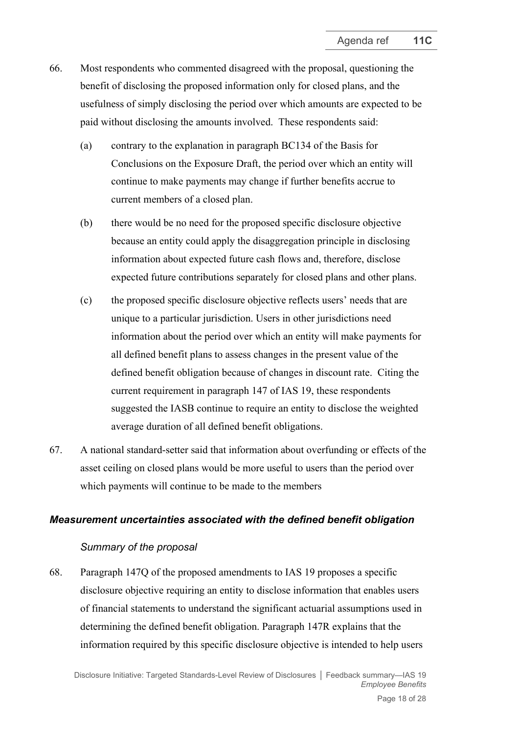- 66. Most respondents who commented disagreed with the proposal, questioning the benefit of disclosing the proposed information only for closed plans, and the usefulness of simply disclosing the period over which amounts are expected to be paid without disclosing the amounts involved. These respondents said:
	- (a) contrary to the explanation in paragraph BC134 of the Basis for Conclusions on the Exposure Draft, the period over which an entity will continue to make payments may change if further benefits accrue to current members of a closed plan.
	- (b) there would be no need for the proposed specific disclosure objective because an entity could apply the disaggregation principle in disclosing information about expected future cash flows and, therefore, disclose expected future contributions separately for closed plans and other plans.
	- (c) the proposed specific disclosure objective reflects users' needs that are unique to a particular jurisdiction. Users in other jurisdictions need information about the period over which an entity will make payments for all defined benefit plans to assess changes in the present value of the defined benefit obligation because of changes in discount rate. Citing the current requirement in paragraph 147 of IAS 19, these respondents suggested the IASB continue to require an entity to disclose the weighted average duration of all defined benefit obligations.
- <span id="page-17-0"></span>67. A national standard-setter said that information about overfunding or effects of the asset ceiling on closed plans would be more useful to users than the period over which payments will continue to be made to the members

#### *Measurement uncertainties associated with the defined benefit obligation*

#### *Summary of the proposal*

<span id="page-17-1"></span>68. Paragraph 147Q of the proposed amendments to IAS 19 proposes a specific disclosure objective requiring an entity to disclose information that enables users of financial statements to understand the significant actuarial assumptions used in determining the defined benefit obligation. Paragraph 147R explains that the information required by this specific disclosure objective is intended to help users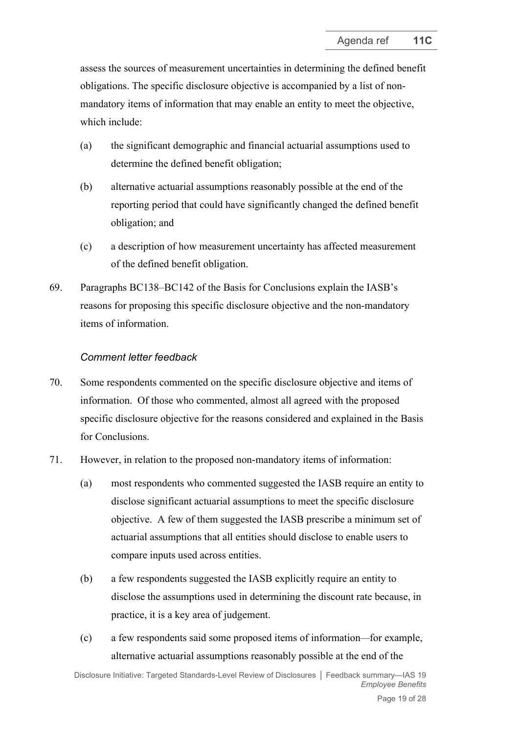assess the sources of measurement uncertainties in determining the defined benefit obligations. The specific disclosure objective is accompanied by a list of nonmandatory items of information that may enable an entity to meet the objective, which include:

- (a) the significant demographic and financial actuarial assumptions used to determine the defined benefit obligation;
- (b) alternative actuarial assumptions reasonably possible at the end of the reporting period that could have significantly changed the defined benefit obligation; and
- (c) a description of how measurement uncertainty has affected measurement of the defined benefit obligation.
- 69. Paragraphs BC138–BC142 of the Basis for Conclusions explain the IASB's reasons for proposing this specific disclosure objective and the non-mandatory items of information.

### *Comment letter feedback*

- 70. Some respondents commented on the specific disclosure objective and items of information. Of those who commented, almost all agreed with the proposed specific disclosure objective for the reasons considered and explained in the Basis for Conclusions.
- <span id="page-18-0"></span>71. However, in relation to the proposed non-mandatory items of information:
	- (a) most respondents who commented suggested the IASB require an entity to disclose significant actuarial assumptions to meet the specific disclosure objective. A few of them suggested the IASB prescribe a minimum set of actuarial assumptions that all entities should disclose to enable users to compare inputs used across entities.
	- (b) a few respondents suggested the IASB explicitly require an entity to disclose the assumptions used in determining the discount rate because, in practice, it is a key area of judgement.
	- (c) a few respondents said some proposed items of information*—*for example, alternative actuarial assumptions reasonably possible at the end of the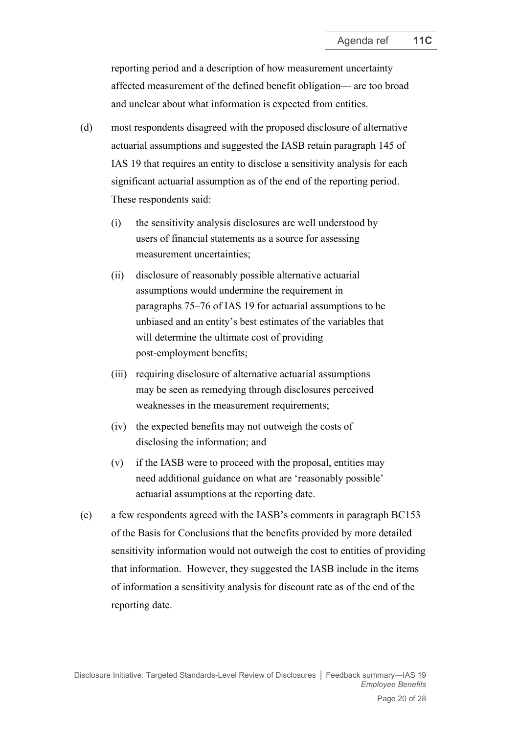reporting period and a description of how measurement uncertainty affected measurement of the defined benefit obligation— are too broad and unclear about what information is expected from entities.

- (d) most respondents disagreed with the proposed disclosure of alternative actuarial assumptions and suggested the IASB retain paragraph 145 of IAS 19 that requires an entity to disclose a sensitivity analysis for each significant actuarial assumption as of the end of the reporting period. These respondents said:
	- (i) the sensitivity analysis disclosures are well understood by users of financial statements as a source for assessing measurement uncertainties;
	- (ii) disclosure of reasonably possible alternative actuarial assumptions would undermine the requirement in paragraphs 75–76 of IAS 19 for actuarial assumptions to be unbiased and an entity's best estimates of the variables that will determine the ultimate cost of providing post-employment benefits;
	- (iii) requiring disclosure of alternative actuarial assumptions may be seen as remedying through disclosures perceived weaknesses in the measurement requirements;
	- (iv) the expected benefits may not outweigh the costs of disclosing the information; and
	- (v) if the IASB were to proceed with the proposal, entities may need additional guidance on what are 'reasonably possible' actuarial assumptions at the reporting date.
- (e) a few respondents agreed with the IASB's comments in paragraph BC153 of the Basis for Conclusions that the benefits provided by more detailed sensitivity information would not outweigh the cost to entities of providing that information. However, they suggested the IASB include in the items of information a sensitivity analysis for discount rate as of the end of the reporting date.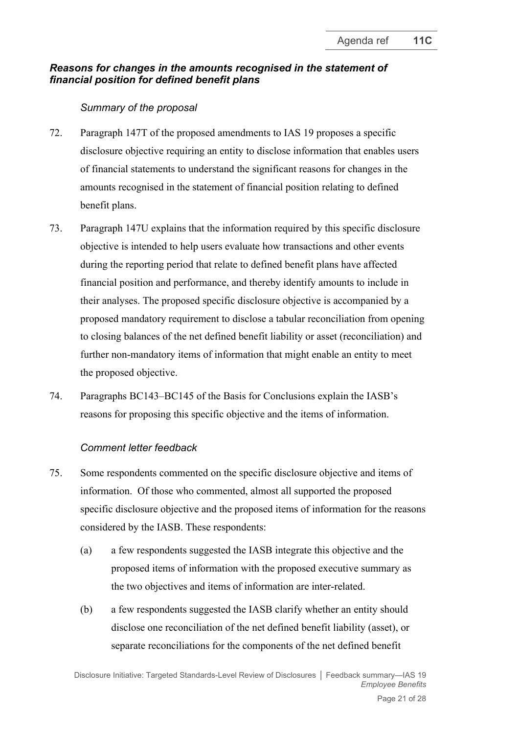# *Reasons for changes in the amounts recognised in the statement of financial position for defined benefit plans*

### *Summary of the proposal*

- <span id="page-20-0"></span>72. Paragraph 147T of the proposed amendments to IAS 19 proposes a specific disclosure objective requiring an entity to disclose information that enables users of financial statements to understand the significant reasons for changes in the amounts recognised in the statement of financial position relating to defined benefit plans.
- 73. Paragraph 147U explains that the information required by this specific disclosure objective is intended to help users evaluate how transactions and other events during the reporting period that relate to defined benefit plans have affected financial position and performance, and thereby identify amounts to include in their analyses. The proposed specific disclosure objective is accompanied by a proposed mandatory requirement to disclose a tabular reconciliation from opening to closing balances of the net defined benefit liability or asset (reconciliation) and further non-mandatory items of information that might enable an entity to meet the proposed objective.
- 74. Paragraphs BC143–BC145 of the Basis for Conclusions explain the IASB's reasons for proposing this specific objective and the items of information.

### *Comment letter feedback*

- 75. Some respondents commented on the specific disclosure objective and items of information. Of those who commented, almost all supported the proposed specific disclosure objective and the proposed items of information for the reasons considered by the IASB. These respondents:
	- (a) a few respondents suggested the IASB integrate this objective and the proposed items of information with the proposed executive summary as the two objectives and items of information are inter-related.
	- (b) a few respondents suggested the IASB clarify whether an entity should disclose one reconciliation of the net defined benefit liability (asset), or separate reconciliations for the components of the net defined benefit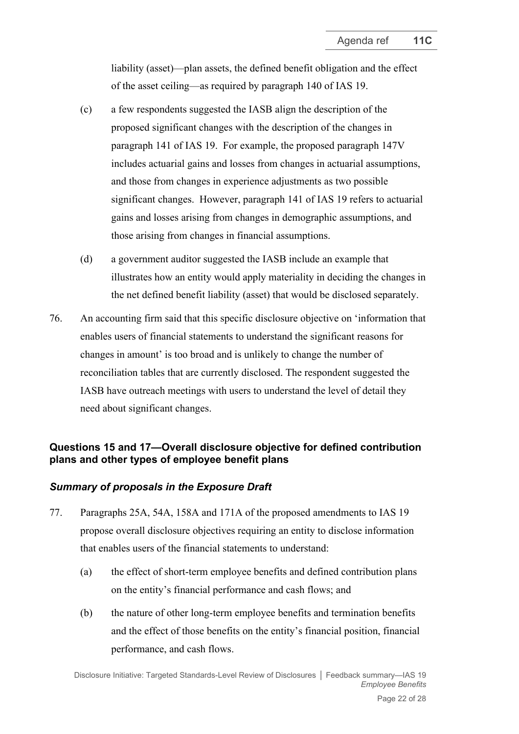liability (asset)—plan assets, the defined benefit obligation and the effect of the asset ceiling—as required by paragraph 140 of IAS 19.

- (c) a few respondents suggested the IASB align the description of the proposed significant changes with the description of the changes in paragraph 141 of IAS 19. For example, the proposed paragraph 147V includes actuarial gains and losses from changes in actuarial assumptions, and those from changes in experience adjustments as two possible significant changes. However, paragraph 141 of IAS 19 refers to actuarial gains and losses arising from changes in demographic assumptions, and those arising from changes in financial assumptions.
- (d) a government auditor suggested the IASB include an example that illustrates how an entity would apply materiality in deciding the changes in the net defined benefit liability (asset) that would be disclosed separately.
- <span id="page-21-0"></span>76. An accounting firm said that this specific disclosure objective on 'information that enables users of financial statements to understand the significant reasons for changes in amount' is too broad and is unlikely to change the number of reconciliation tables that are currently disclosed. The respondent suggested the IASB have outreach meetings with users to understand the level of detail they need about significant changes.

## **Questions 15 and 17—Overall disclosure objective for defined contribution plans and other types of employee benefit plans**

# *Summary of proposals in the Exposure Draft*

- <span id="page-21-1"></span>77. Paragraphs 25A, 54A, 158A and 171A of the proposed amendments to IAS 19 propose overall disclosure objectives requiring an entity to disclose information that enables users of the financial statements to understand:
	- (a) the effect of short-term employee benefits and defined contribution plans on the entity's financial performance and cash flows; and
	- (b) the nature of other long-term employee benefits and termination benefits and the effect of those benefits on the entity's financial position, financial performance, and cash flows.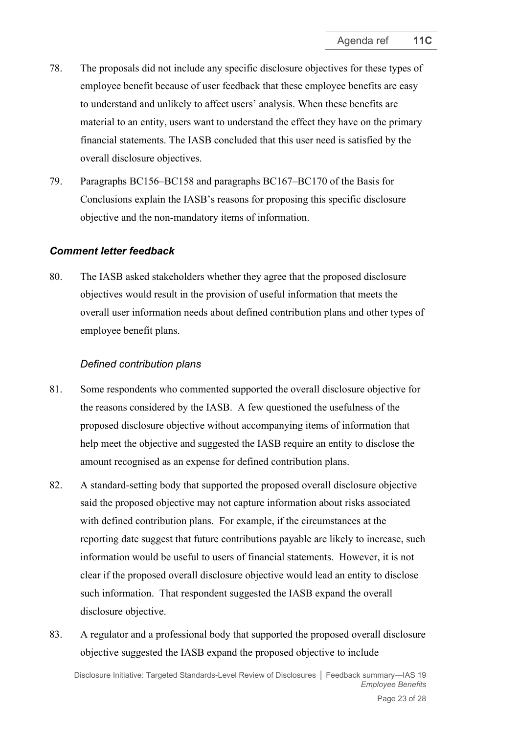- 78. The proposals did not include any specific disclosure objectives for these types of employee benefit because of user feedback that these employee benefits are easy to understand and unlikely to affect users' analysis. When these benefits are material to an entity, users want to understand the effect they have on the primary financial statements. The IASB concluded that this user need is satisfied by the overall disclosure objectives.
- 79. Paragraphs BC156–BC158 and paragraphs BC167–BC170 of the Basis for Conclusions explain the IASB's reasons for proposing this specific disclosure objective and the non-mandatory items of information.

#### *Comment letter feedback*

80. The IASB asked stakeholders whether they agree that the proposed disclosure objectives would result in the provision of useful information that meets the overall user information needs about defined contribution plans and other types of employee benefit plans.

#### *Defined contribution plans*

- 81. Some respondents who commented supported the overall disclosure objective for the reasons considered by the IASB. A few questioned the usefulness of the proposed disclosure objective without accompanying items of information that help meet the objective and suggested the IASB require an entity to disclose the amount recognised as an expense for defined contribution plans.
- 82. A standard-setting body that supported the proposed overall disclosure objective said the proposed objective may not capture information about risks associated with defined contribution plans. For example, if the circumstances at the reporting date suggest that future contributions payable are likely to increase, such information would be useful to users of financial statements. However, it is not clear if the proposed overall disclosure objective would lead an entity to disclose such information. That respondent suggested the IASB expand the overall disclosure objective.
- 83. A regulator and a professional body that supported the proposed overall disclosure objective suggested the IASB expand the proposed objective to include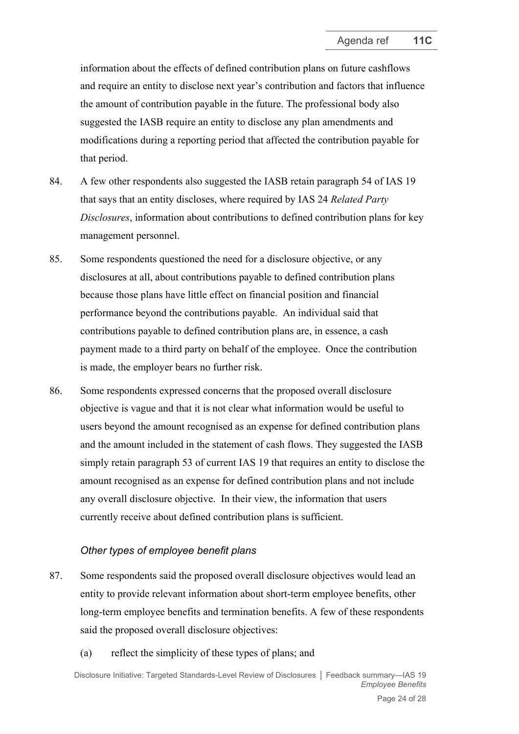information about the effects of defined contribution plans on future cashflows and require an entity to disclose next year's contribution and factors that influence the amount of contribution payable in the future. The professional body also suggested the IASB require an entity to disclose any plan amendments and modifications during a reporting period that affected the contribution payable for that period.

- 84. A few other respondents also suggested the IASB retain paragraph 54 of IAS 19 that says that an entity discloses, where required by IAS 24 *Related Party Disclosures*, information about contributions to defined contribution plans for key management personnel.
- 85. Some respondents questioned the need for a disclosure objective, or any disclosures at all, about contributions payable to defined contribution plans because those plans have little effect on financial position and financial performance beyond the contributions payable. An individual said that contributions payable to defined contribution plans are, in essence, a cash payment made to a third party on behalf of the employee. Once the contribution is made, the employer bears no further risk.
- 86. Some respondents expressed concerns that the proposed overall disclosure objective is vague and that it is not clear what information would be useful to users beyond the amount recognised as an expense for defined contribution plans and the amount included in the statement of cash flows. They suggested the IASB simply retain paragraph 53 of current IAS 19 that requires an entity to disclose the amount recognised as an expense for defined contribution plans and not include any overall disclosure objective. In their view, the information that users currently receive about defined contribution plans is sufficient.

### *Other types of employee benefit plans*

- 87. Some respondents said the proposed overall disclosure objectives would lead an entity to provide relevant information about short-term employee benefits, other long-term employee benefits and termination benefits. A few of these respondents said the proposed overall disclosure objectives:
	- (a) reflect the simplicity of these types of plans; and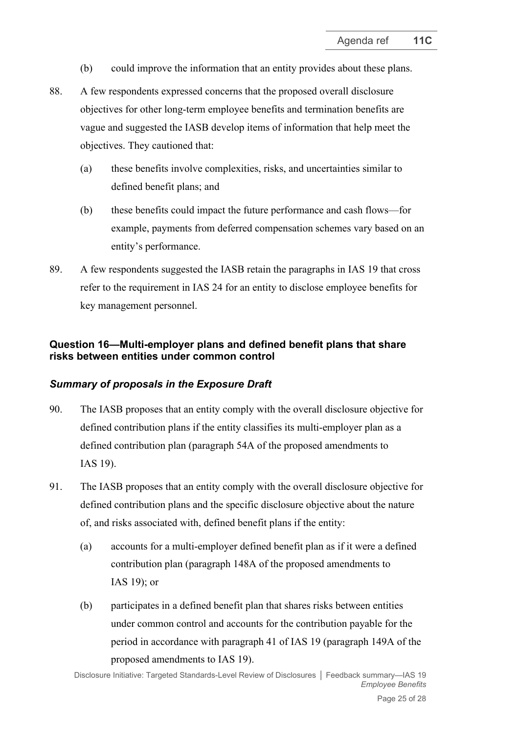- (b) could improve the information that an entity provides about these plans.
- 88. A few respondents expressed concerns that the proposed overall disclosure objectives for other long-term employee benefits and termination benefits are vague and suggested the IASB develop items of information that help meet the objectives. They cautioned that:
	- (a) these benefits involve complexities, risks, and uncertainties similar to defined benefit plans; and
	- (b) these benefits could impact the future performance and cash flows—for example, payments from deferred compensation schemes vary based on an entity's performance.
- <span id="page-24-0"></span>89. A few respondents suggested the IASB retain the paragraphs in IAS 19 that cross refer to the requirement in IAS 24 for an entity to disclose employee benefits for key management personnel.

# <span id="page-24-2"></span>**Question 16—Multi-employer plans and defined benefit plans that share risks between entities under common control**

### *Summary of proposals in the Exposure Draft*

- <span id="page-24-1"></span>90. The IASB proposes that an entity comply with the overall disclosure objective for defined contribution plans if the entity classifies its multi-employer plan as a defined contribution plan (paragraph 54A of the proposed amendments to IAS 19).
- 91. The IASB proposes that an entity comply with the overall disclosure objective for defined contribution plans and the specific disclosure objective about the nature of, and risks associated with, defined benefit plans if the entity:
	- (a) accounts for a multi-employer defined benefit plan as if it were a defined contribution plan (paragraph 148A of the proposed amendments to IAS 19); or
	- (b) participates in a defined benefit plan that shares risks between entities under common control and accounts for the contribution payable for the period in accordance with paragraph 41 of IAS 19 (paragraph 149A of the proposed amendments to IAS 19).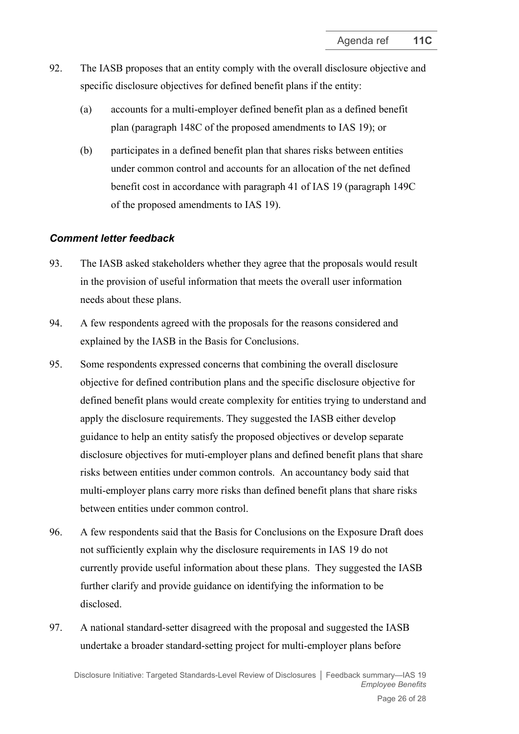- 92. The IASB proposes that an entity comply with the overall disclosure objective and specific disclosure objectives for defined benefit plans if the entity:
	- (a) accounts for a multi-employer defined benefit plan as a defined benefit plan (paragraph 148C of the proposed amendments to IAS 19); or
	- (b) participates in a defined benefit plan that shares risks between entities under common control and accounts for an allocation of the net defined benefit cost in accordance with paragraph 41 of IAS 19 (paragraph 149C of the proposed amendments to IAS 19).

### *Comment letter feedback*

- 93. The IASB asked stakeholders whether they agree that the proposals would result in the provision of useful information that meets the overall user information needs about these plans.
- 94. A few respondents agreed with the proposals for the reasons considered and explained by the IASB in the Basis for Conclusions.
- 95. Some respondents expressed concerns that combining the overall disclosure objective for defined contribution plans and the specific disclosure objective for defined benefit plans would create complexity for entities trying to understand and apply the disclosure requirements. They suggested the IASB either develop guidance to help an entity satisfy the proposed objectives or develop separate disclosure objectives for muti-employer plans and defined benefit plans that share risks between entities under common controls. An accountancy body said that multi-employer plans carry more risks than defined benefit plans that share risks between entities under common control.
- 96. A few respondents said that the Basis for Conclusions on the Exposure Draft does not sufficiently explain why the disclosure requirements in IAS 19 do not currently provide useful information about these plans. They suggested the IASB further clarify and provide guidance on identifying the information to be disclosed.
- <span id="page-25-0"></span>97. A national standard-setter disagreed with the proposal and suggested the IASB undertake a broader standard-setting project for multi-employer plans before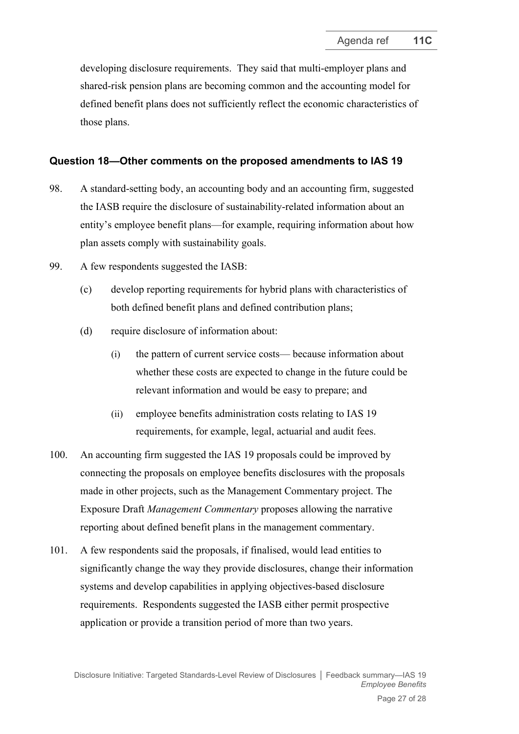developing disclosure requirements. They said that multi-employer plans and shared-risk pension plans are becoming common and the accounting model for defined benefit plans does not sufficiently reflect the economic characteristics of those plans.

### **Question 18—Other comments on the proposed amendments to IAS 19**

- <span id="page-26-0"></span>98. A standard-setting body, an accounting body and an accounting firm, suggested the IASB require the disclosure of sustainability-related information about an entity's employee benefit plans—for example, requiring information about how plan assets comply with sustainability goals.
- 99. A few respondents suggested the IASB:
	- (c) develop reporting requirements for hybrid plans with characteristics of both defined benefit plans and defined contribution plans;
	- (d) require disclosure of information about:
		- (i) the pattern of current service costs— because information about whether these costs are expected to change in the future could be relevant information and would be easy to prepare; and
		- (ii) employee benefits administration costs relating to IAS 19 requirements, for example, legal, actuarial and audit fees.
- 100. An accounting firm suggested the IAS 19 proposals could be improved by connecting the proposals on employee benefits disclosures with the proposals made in other projects, such as the Management Commentary project. The Exposure Draft *Management Commentary* proposes allowing the narrative reporting about defined benefit plans in the management commentary.
- <span id="page-26-1"></span>101. A few respondents said the proposals, if finalised, would lead entities to significantly change the way they provide disclosures, change their information systems and develop capabilities in applying objectives-based disclosure requirements. Respondents suggested the IASB either permit prospective application or provide a transition period of more than two years.